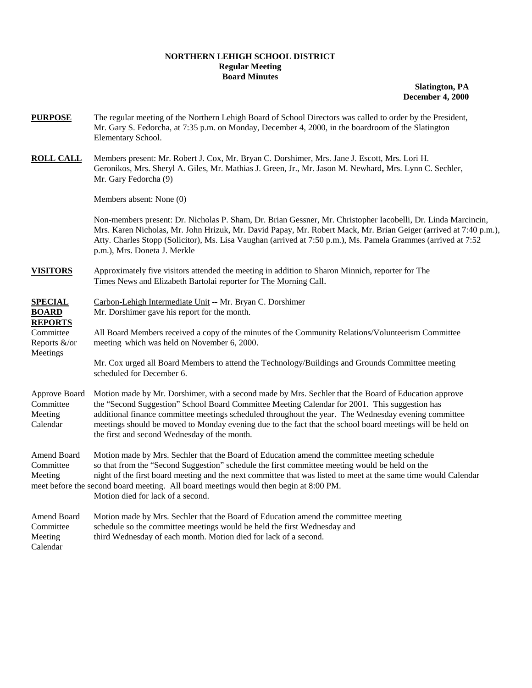## **NORTHERN LEHIGH SCHOOL DISTRICT Regular Meeting Board Minutes**

**Slatington, PA December 4, 2000**

- **PURPOSE** The regular meeting of the Northern Lehigh Board of School Directors was called to order by the President, Mr. Gary S. Fedorcha, at 7:35 p.m. on Monday, December 4, 2000, in the boardroom of the Slatington Elementary School.
- **ROLL CALL** Members present: Mr. Robert J. Cox, Mr. Bryan C. Dorshimer, Mrs. Jane J. Escott, Mrs. Lori H. Geronikos, Mrs. Sheryl A. Giles, Mr. Mathias J. Green, Jr., Mr. Jason M. Newhard**,** Mrs. Lynn C. Sechler, Mr. Gary Fedorcha (9)

Members absent: None (0)

Non-members present: Dr. Nicholas P. Sham, Dr. Brian Gessner, Mr. Christopher Iacobelli, Dr. Linda Marcincin, Mrs. Karen Nicholas, Mr. John Hrizuk, Mr. David Papay, Mr. Robert Mack, Mr. Brian Geiger (arrived at 7:40 p.m.), Atty. Charles Stopp (Solicitor), Ms. Lisa Vaughan (arrived at 7:50 p.m.), Ms. Pamela Grammes (arrived at 7:52 p.m.), Mrs. Doneta J. Merkle

**VISITORS** Approximately five visitors attended the meeting in addition to Sharon Minnich, reporter for The Times News and Elizabeth Bartolai reporter for The Morning Call.

**REPORTS**

Meetings

**SPECIAL** Carbon-Lehigh Intermediate Unit -- Mr. Bryan C. Dorshimer **BOARD** Mr. Dorshimer gave his report for the month.

Committee All Board Members received a copy of the minutes of the Community Relations/Volunteerism Committee Reports &/or meeting which was held on November 6, 2000.

> Mr. Cox urged all Board Members to attend the Technology/Buildings and Grounds Committee meeting scheduled for December 6.

Approve Board Motion made by Mr. Dorshimer, with a second made by Mrs. Sechler that the Board of Education approve Committee the "Second Suggestion" School Board Committee Meeting Calendar for 2001. This suggestion has Meeting additional finance committee meetings scheduled throughout the year. The Wednesday evening committee Calendar meetings should be moved to Monday evening due to the fact that the school board meetings will be held on the first and second Wednesday of the month.

Amend Board Motion made by Mrs. Sechler that the Board of Education amend the committee meeting schedule Committee so that from the "Second Suggestion" schedule the first committee meeting would be held on the Meeting night of the first board meeting and the next committee that was listed to meet at the same time would Calendar meet before the second board meeting. All board meetings would then begin at 8:00 PM. Motion died for lack of a second.

| Amend Board | Motion made by Mrs. Sechler that the Board of Education amend the committee meeting |
|-------------|-------------------------------------------------------------------------------------|
| Committee   | schedule so the committee meetings would be held the first Wednesday and            |
| Meeting     | third Wednesday of each month. Motion died for lack of a second.                    |
| Calendar    |                                                                                     |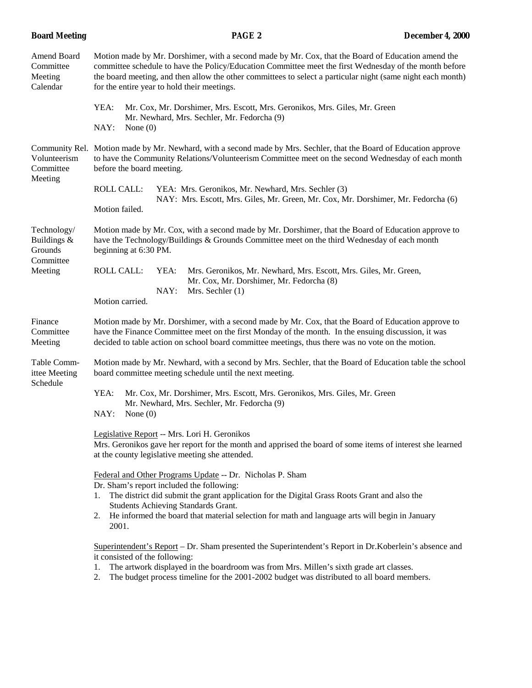| <b>Board Meeting</b>                                          | PAGE <sub>2</sub>                                                                                                                                                                                                                                                                                                                                                          | December 4, 2000 |
|---------------------------------------------------------------|----------------------------------------------------------------------------------------------------------------------------------------------------------------------------------------------------------------------------------------------------------------------------------------------------------------------------------------------------------------------------|------------------|
| Amend Board<br>Committee<br>Meeting<br>Calendar               | Motion made by Mr. Dorshimer, with a second made by Mr. Cox, that the Board of Education amend the<br>committee schedule to have the Policy/Education Committee meet the first Wednesday of the month before<br>the board meeting, and then allow the other committees to select a particular night (same night each month)<br>for the entire year to hold their meetings. |                  |
|                                                               | YEA:<br>Mr. Cox, Mr. Dorshimer, Mrs. Escott, Mrs. Geronikos, Mrs. Giles, Mr. Green<br>Mr. Newhard, Mrs. Sechler, Mr. Fedorcha (9)<br>NAY:<br>None $(0)$                                                                                                                                                                                                                    |                  |
| Community Rel.<br>Volunteerism<br>Committee<br>Meeting        | Motion made by Mr. Newhard, with a second made by Mrs. Sechler, that the Board of Education approve<br>to have the Community Relations/Volunteerism Committee meet on the second Wednesday of each month<br>before the board meeting.                                                                                                                                      |                  |
|                                                               | <b>ROLL CALL:</b><br>YEA: Mrs. Geronikos, Mr. Newhard, Mrs. Sechler (3)<br>NAY: Mrs. Escott, Mrs. Giles, Mr. Green, Mr. Cox, Mr. Dorshimer, Mr. Fedorcha (6)<br>Motion failed.                                                                                                                                                                                             |                  |
| Technology/<br>Buildings &<br>Grounds<br>Committee<br>Meeting | Motion made by Mr. Cox, with a second made by Mr. Dorshimer, that the Board of Education approve to<br>have the Technology/Buildings & Grounds Committee meet on the third Wednesday of each month<br>beginning at 6:30 PM.                                                                                                                                                |                  |
|                                                               | <b>ROLL CALL:</b><br>Mrs. Geronikos, Mr. Newhard, Mrs. Escott, Mrs. Giles, Mr. Green,<br>YEA:<br>Mr. Cox, Mr. Dorshimer, Mr. Fedorcha (8)<br>NAY:<br>Mrs. Sechler (1)<br>Motion carried.                                                                                                                                                                                   |                  |
| Finance<br>Committee<br>Meeting                               | Motion made by Mr. Dorshimer, with a second made by Mr. Cox, that the Board of Education approve to<br>have the Finance Committee meet on the first Monday of the month. In the ensuing discussion, it was<br>decided to table action on school board committee meetings, thus there was no vote on the motion.                                                            |                  |
| Table Comm-<br>ittee Meeting<br>Schedule                      | Motion made by Mr. Newhard, with a second by Mrs. Sechler, that the Board of Education table the school<br>board committee meeting schedule until the next meeting.                                                                                                                                                                                                        |                  |
|                                                               | YEA:<br>Mr. Cox, Mr. Dorshimer, Mrs. Escott, Mrs. Geronikos, Mrs. Giles, Mr. Green<br>Mr. Newhard, Mrs. Sechler, Mr. Fedorcha (9)<br>NAY:<br>None $(0)$                                                                                                                                                                                                                    |                  |
|                                                               | Legislative Report -- Mrs. Lori H. Geronikos<br>Mrs. Geronikos gave her report for the month and apprised the board of some items of interest she learned<br>at the county legislative meeting she attended.                                                                                                                                                               |                  |
|                                                               | Federal and Other Programs Update -- Dr. Nicholas P. Sham<br>Dr. Sham's report included the following:<br>The district did submit the grant application for the Digital Grass Roots Grant and also the<br>1.<br>Students Achieving Standards Grant.<br>He informed the board that material selection for math and language arts will begin in January<br>2.<br>2001.       |                  |
|                                                               | Superintendent's Report – Dr. Sham presented the Superintendent's Report in Dr. Koberlein's absence and<br>it consisted of the following:<br>The artwork displayed in the boardroom was from Mrs. Millen's sixth grade art classes.<br>1.<br>The budget process timeline for the 2001-2002 budget was distributed to all board members.<br>2.                              |                  |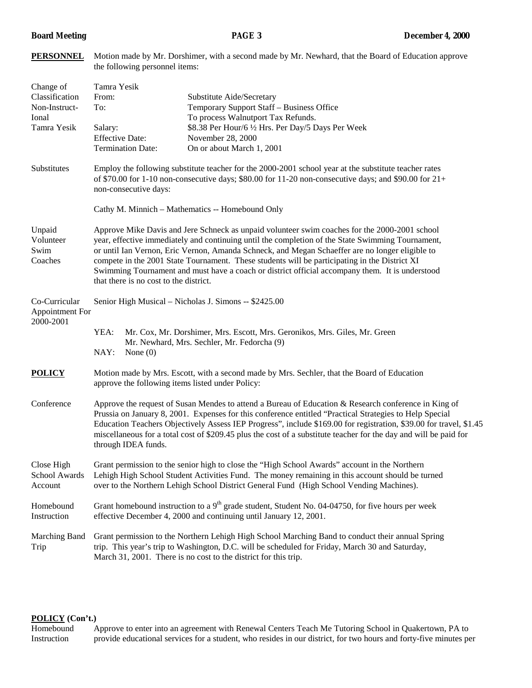**PERSONNEL** Motion made by Mr. Dorshimer, with a second made by Mr. Newhard, that the Board of Education approve

|                                                                      | the following personnel items:                                                                                                                                                                                                                                                                                                                                                                                                                                                                                                                      |                                                                                                                                                                                                                                                                        |  |  |
|----------------------------------------------------------------------|-----------------------------------------------------------------------------------------------------------------------------------------------------------------------------------------------------------------------------------------------------------------------------------------------------------------------------------------------------------------------------------------------------------------------------------------------------------------------------------------------------------------------------------------------------|------------------------------------------------------------------------------------------------------------------------------------------------------------------------------------------------------------------------------------------------------------------------|--|--|
| Change of<br>Classification<br>Non-Instruct-<br>Ional<br>Tamra Yesik | Tamra Yesik<br>From:<br>To:<br>Salary:<br><b>Effective Date:</b><br><b>Termination Date:</b>                                                                                                                                                                                                                                                                                                                                                                                                                                                        | Substitute Aide/Secretary<br>Temporary Support Staff - Business Office<br>To process Walnutport Tax Refunds.<br>\$8.38 Per Hour/6 1/2 Hrs. Per Day/5 Days Per Week<br>November 28, 2000<br>On or about March 1, 2001                                                   |  |  |
| Substitutes                                                          | Employ the following substitute teacher for the 2000-2001 school year at the substitute teacher rates<br>of \$70.00 for 1-10 non-consecutive days; \$80.00 for 11-20 non-consecutive days; and \$90.00 for $21+$<br>non-consecutive days:                                                                                                                                                                                                                                                                                                           |                                                                                                                                                                                                                                                                        |  |  |
|                                                                      |                                                                                                                                                                                                                                                                                                                                                                                                                                                                                                                                                     | Cathy M. Minnich - Mathematics -- Homebound Only                                                                                                                                                                                                                       |  |  |
| Unpaid<br>Volunteer<br>Swim<br>Coaches                               | Approve Mike Davis and Jere Schneck as unpaid volunteer swim coaches for the 2000-2001 school<br>year, effective immediately and continuing until the completion of the State Swimming Tournament,<br>or until Ian Vernon, Eric Vernon, Amanda Schneck, and Megan Schaeffer are no longer eligible to<br>compete in the 2001 State Tournament. These students will be participating in the District XI<br>Swimming Tournament and must have a coach or district official accompany them. It is understood<br>that there is no cost to the district. |                                                                                                                                                                                                                                                                        |  |  |
| Co-Curricular<br><b>Appointment For</b><br>2000-2001                 |                                                                                                                                                                                                                                                                                                                                                                                                                                                                                                                                                     | Senior High Musical - Nicholas J. Simons -- \$2425.00                                                                                                                                                                                                                  |  |  |
|                                                                      | YEA:<br>Mr. Cox, Mr. Dorshimer, Mrs. Escott, Mrs. Geronikos, Mrs. Giles, Mr. Green<br>Mr. Newhard, Mrs. Sechler, Mr. Fedorcha (9)<br>NAY:<br>None $(0)$                                                                                                                                                                                                                                                                                                                                                                                             |                                                                                                                                                                                                                                                                        |  |  |
| <b>POLICY</b>                                                        | Motion made by Mrs. Escott, with a second made by Mrs. Sechler, that the Board of Education<br>approve the following items listed under Policy:                                                                                                                                                                                                                                                                                                                                                                                                     |                                                                                                                                                                                                                                                                        |  |  |
| Conference                                                           | Approve the request of Susan Mendes to attend a Bureau of Education & Research conference in King of<br>Prussia on January 8, 2001. Expenses for this conference entitled "Practical Strategies to Help Special<br>Education Teachers Objectively Assess IEP Progress", include \$169.00 for registration, \$39.00 for travel, \$1.45<br>miscellaneous for a total cost of \$209.45 plus the cost of a substitute teacher for the day and will be paid for<br>through IDEA funds.                                                                   |                                                                                                                                                                                                                                                                        |  |  |
| Close High<br>School Awards<br>Account                               | Grant permission to the senior high to close the "High School Awards" account in the Northern<br>Lehigh High School Student Activities Fund. The money remaining in this account should be turned<br>over to the Northern Lehigh School District General Fund (High School Vending Machines).                                                                                                                                                                                                                                                       |                                                                                                                                                                                                                                                                        |  |  |
| Homebound<br>Instruction                                             | Grant homebound instruction to a $9th$ grade student, Student No. 04-04750, for five hours per week<br>effective December 4, 2000 and continuing until January 12, 2001.                                                                                                                                                                                                                                                                                                                                                                            |                                                                                                                                                                                                                                                                        |  |  |
| Marching Band<br>Trip                                                |                                                                                                                                                                                                                                                                                                                                                                                                                                                                                                                                                     | Grant permission to the Northern Lehigh High School Marching Band to conduct their annual Spring<br>trip. This year's trip to Washington, D.C. will be scheduled for Friday, March 30 and Saturday,<br>March 31, 2001. There is no cost to the district for this trip. |  |  |

# **POLICY (Con't.)**

Homebound Approve to enter into an agreement with Renewal Centers Teach Me Tutoring School in Quakertown, PA to Instruction provide educational services for a student, who resides in our district, for two hours and forty-five minutes per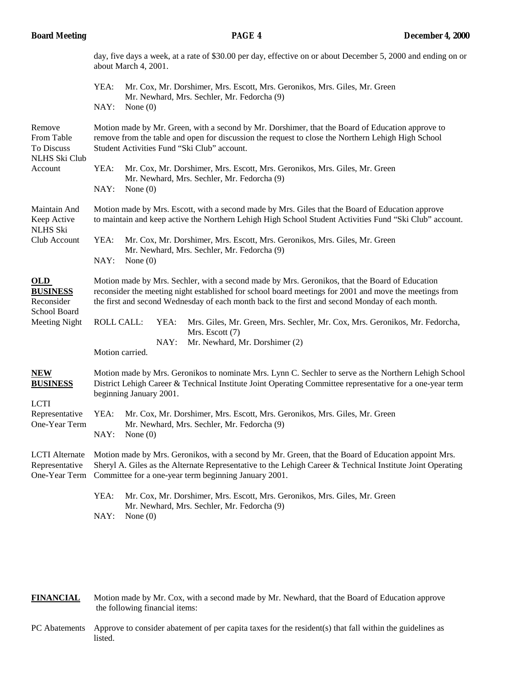|                                                                                 | day, five days a week, at a rate of \$30.00 per day, effective on or about December 5, 2000 and ending on or<br>about March 4, 2001.                                                                                                                                                                        |  |  |
|---------------------------------------------------------------------------------|-------------------------------------------------------------------------------------------------------------------------------------------------------------------------------------------------------------------------------------------------------------------------------------------------------------|--|--|
|                                                                                 | YEA:<br>Mr. Cox, Mr. Dorshimer, Mrs. Escott, Mrs. Geronikos, Mrs. Giles, Mr. Green<br>Mr. Newhard, Mrs. Sechler, Mr. Fedorcha (9)<br>NAY:<br>None $(0)$                                                                                                                                                     |  |  |
| Remove<br>From Table<br>To Discuss<br><b>NLHS Ski Club</b><br>Account           | Motion made by Mr. Green, with a second by Mr. Dorshimer, that the Board of Education approve to<br>remove from the table and open for discussion the request to close the Northern Lehigh High School<br>Student Activities Fund "Ski Club" account.                                                       |  |  |
|                                                                                 | YEA:<br>Mr. Cox, Mr. Dorshimer, Mrs. Escott, Mrs. Geronikos, Mrs. Giles, Mr. Green<br>Mr. Newhard, Mrs. Sechler, Mr. Fedorcha (9)<br>NAY:<br>None $(0)$                                                                                                                                                     |  |  |
| Maintain And<br>Keep Active<br><b>NLHS Ski</b><br>Club Account                  | Motion made by Mrs. Escott, with a second made by Mrs. Giles that the Board of Education approve<br>to maintain and keep active the Northern Lehigh High School Student Activities Fund "Ski Club" account.                                                                                                 |  |  |
|                                                                                 | YEA:<br>Mr. Cox, Mr. Dorshimer, Mrs. Escott, Mrs. Geronikos, Mrs. Giles, Mr. Green<br>Mr. Newhard, Mrs. Sechler, Mr. Fedorcha (9)<br>NAY:<br>None $(0)$                                                                                                                                                     |  |  |
| <b>OLD</b><br><b>BUSINESS</b><br>Reconsider<br>School Board<br>Meeting Night    | Motion made by Mrs. Sechler, with a second made by Mrs. Geronikos, that the Board of Education<br>reconsider the meeting night established for school board meetings for 2001 and move the meetings from<br>the first and second Wednesday of each month back to the first and second Monday of each month. |  |  |
|                                                                                 | <b>ROLL CALL:</b><br>YEA:<br>Mrs. Giles, Mr. Green, Mrs. Sechler, Mr. Cox, Mrs. Geronikos, Mr. Fedorcha,<br>Mrs. Escott (7)<br>NAY:<br>Mr. Newhard, Mr. Dorshimer (2)<br>Motion carried.                                                                                                                    |  |  |
| <b>NEW</b><br><b>BUSINESS</b><br><b>LCTI</b><br>Representative<br>One-Year Term | Motion made by Mrs. Geronikos to nominate Mrs. Lynn C. Sechler to serve as the Northern Lehigh School<br>District Lehigh Career & Technical Institute Joint Operating Committee representative for a one-year term<br>beginning January 2001.                                                               |  |  |
|                                                                                 | YEA:<br>Mr. Cox, Mr. Dorshimer, Mrs. Escott, Mrs. Geronikos, Mrs. Giles, Mr. Green<br>Mr. Newhard, Mrs. Sechler, Mr. Fedorcha (9)<br>NAY:<br>None $(0)$                                                                                                                                                     |  |  |
| <b>LCTI</b> Alternate<br>Representative<br>One-Year Term                        | Motion made by Mrs. Geronikos, with a second by Mr. Green, that the Board of Education appoint Mrs.<br>Sheryl A. Giles as the Alternate Representative to the Lehigh Career & Technical Institute Joint Operating<br>Committee for a one-year term beginning January 2001.                                  |  |  |
|                                                                                 | YEA:<br>Mr. Cox, Mr. Dorshimer, Mrs. Escott, Mrs. Geronikos, Mrs. Giles, Mr. Green<br>Mr. Newhard, Mrs. Sechler, Mr. Fedorcha (9)<br>NAY:<br>None $(0)$                                                                                                                                                     |  |  |

**FINANCIAL** Motion made by Mr. Cox, with a second made by Mr. Newhard, that the Board of Education approve the following financial items:

PC Abatements Approve to consider abatement of per capita taxes for the resident(s) that fall within the guidelines as listed.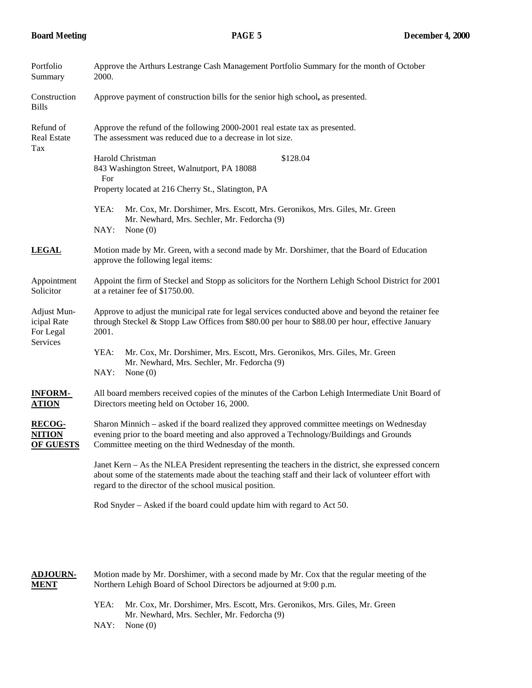| Portfolio<br>Summary                                | Approve the Arthurs Lestrange Cash Management Portfolio Summary for the month of October<br>2000.                                                                                                                                                                   |  |  |  |
|-----------------------------------------------------|---------------------------------------------------------------------------------------------------------------------------------------------------------------------------------------------------------------------------------------------------------------------|--|--|--|
| Construction<br><b>Bills</b>                        | Approve payment of construction bills for the senior high school, as presented.                                                                                                                                                                                     |  |  |  |
| Refund of<br>Real Estate<br>Tax                     | Approve the refund of the following 2000-2001 real estate tax as presented.<br>The assessment was reduced due to a decrease in lot size.                                                                                                                            |  |  |  |
|                                                     | Harold Christman<br>\$128.04<br>843 Washington Street, Walnutport, PA 18088<br>For                                                                                                                                                                                  |  |  |  |
|                                                     | Property located at 216 Cherry St., Slatington, PA                                                                                                                                                                                                                  |  |  |  |
|                                                     | YEA:<br>Mr. Cox, Mr. Dorshimer, Mrs. Escott, Mrs. Geronikos, Mrs. Giles, Mr. Green<br>Mr. Newhard, Mrs. Sechler, Mr. Fedorcha (9)<br>NAY:<br>None $(0)$                                                                                                             |  |  |  |
| <u>LEGAL</u>                                        | Motion made by Mr. Green, with a second made by Mr. Dorshimer, that the Board of Education<br>approve the following legal items:                                                                                                                                    |  |  |  |
| Appointment<br>Solicitor                            | Appoint the firm of Steckel and Stopp as solicitors for the Northern Lehigh School District for 2001<br>at a retainer fee of \$1750.00.                                                                                                                             |  |  |  |
| Adjust Mun-<br>icipal Rate<br>For Legal<br>Services | Approve to adjust the municipal rate for legal services conducted above and beyond the retainer fee<br>through Steckel & Stopp Law Offices from \$80.00 per hour to \$88.00 per hour, effective January<br>2001.                                                    |  |  |  |
|                                                     | YEA:<br>Mr. Cox, Mr. Dorshimer, Mrs. Escott, Mrs. Geronikos, Mrs. Giles, Mr. Green<br>Mr. Newhard, Mrs. Sechler, Mr. Fedorcha (9)<br>NAY:<br>None $(0)$                                                                                                             |  |  |  |
| <u>INFORM-</u><br><b>ATION</b>                      | All board members received copies of the minutes of the Carbon Lehigh Intermediate Unit Board of<br>Directors meeting held on October 16, 2000.                                                                                                                     |  |  |  |
| <u>RECOG-</u><br><b>NITION</b><br>OF GUESTS         | Sharon Minnich - asked if the board realized they approved committee meetings on Wednesday<br>evening prior to the board meeting and also approved a Technology/Buildings and Grounds<br>Committee meeting on the third Wednesday of the month.                     |  |  |  |
|                                                     | Janet Kern - As the NLEA President representing the teachers in the district, she expressed concern<br>about some of the statements made about the teaching staff and their lack of volunteer effort with<br>regard to the director of the school musical position. |  |  |  |
|                                                     | Rod Snyder – Asked if the board could update him with regard to Act 50.                                                                                                                                                                                             |  |  |  |

**ADJOURN-** Motion made by Mr. Dorshimer, with a second made by Mr. Cox that the regular meeting of the **MENT** Northern Lehigh Board of School Directors be adjourned at 9:00 p.m. YEA: Mr. Cox, Mr. Dorshimer, Mrs. Escott, Mrs. Geronikos, Mrs. Giles, Mr. Green

Mr. Newhard, Mrs. Sechler, Mr. Fedorcha (9) NAY: None (0)